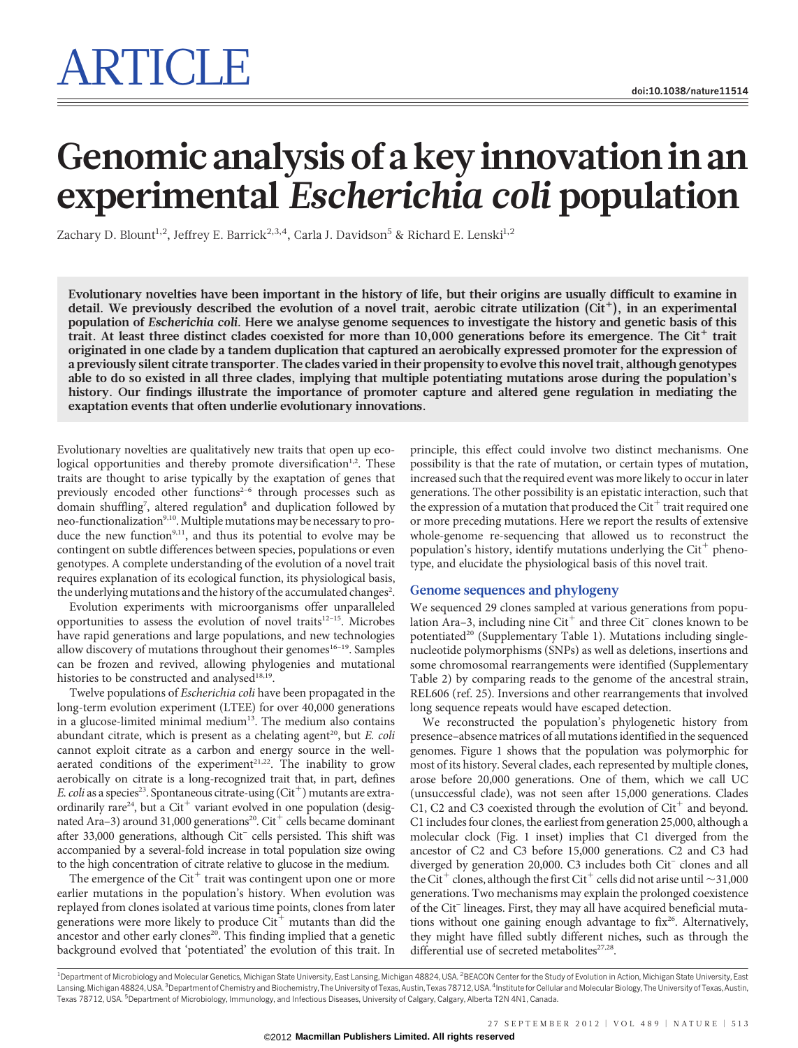# ARTICLE

# Genomic analysis of a key innovation in an experimental Escherichia coli population

Zachary D. Blount<sup>1,2</sup>, Jeffrey E. Barrick<sup>2,3,4</sup>, Carla J. Davidson<sup>5</sup> & Richard E. Lenski<sup>1,2</sup>

Evolutionary novelties have been important in the history of life, but their origins are usually difficult to examine in detail. We previously described the evolution of a novel trait, aerobic citrate utilization  $(Cit^+)$ , in an experimental population of Escherichia coli. Here we analyse genome sequences to investigate the history and genetic basis of this trait. At least three distinct clades coexisted for more than  $10,000$  generations before its emergence. The Cit<sup>+</sup> trait originated in one clade by a tandem duplication that captured an aerobically expressed promoter for the expression of a previously silent citrate transporter. The clades varied in their propensity to evolve this novel trait, although genotypes able to do so existed in all three clades, implying that multiple potentiating mutations arose during the population's history. Our findings illustrate the importance of promoter capture and altered gene regulation in mediating the exaptation events that often underlie evolutionary innovations.

Evolutionary novelties are qualitatively new traits that open up ecological opportunities and thereby promote diversification<sup>1,2</sup>. These traits are thought to arise typically by the exaptation of genes that previously encoded other functions<sup>2-6</sup> through processes such as domain shuffling<sup>7</sup>, altered regulation<sup>8</sup> and duplication followed by neo-functionalization<sup>9,10</sup>. Multiple mutations may be necessary to produce the new function<sup>9,11</sup>, and thus its potential to evolve may be contingent on subtle differences between species, populations or even genotypes. A complete understanding of the evolution of a novel trait requires explanation of its ecological function, its physiological basis, the underlying mutations and the history of the accumulated changes<sup>2</sup>.

Evolution experiments with microorganisms offer unparalleled opportunities to assess the evolution of novel traits<sup>12–15</sup>. Microbes have rapid generations and large populations, and new technologies allow discovery of mutations throughout their genomes $16-19$ . Samples can be frozen and revived, allowing phylogenies and mutational histories to be constructed and analysed<sup>18,19</sup>.

Twelve populations of Escherichia coli have been propagated in the long-term evolution experiment (LTEE) for over 40,000 generations in a glucose-limited minimal medium<sup>13</sup>. The medium also contains abundant citrate, which is present as a chelating agent<sup>20</sup>, but  $E$ . coli cannot exploit citrate as a carbon and energy source in the wellaerated conditions of the experiment<sup>21,22</sup>. The inability to grow aerobically on citrate is a long-recognized trait that, in part, defines E. coli as a species<sup>23</sup>. Spontaneous citrate-using  $\text{Cit}^+$ ) mutants are extraordinarily rare<sup>24</sup>, but a Cit<sup>+</sup> variant evolved in one population (designated Ara-3) around 31,000 generations<sup>20</sup>. Cit<sup>+</sup> cells became dominant after 33,000 generations, although Cit– cells persisted. This shift was accompanied by a several-fold increase in total population size owing to the high concentration of citrate relative to glucose in the medium.

The emergence of the Cit $^+$  trait was contingent upon one or more earlier mutations in the population's history. When evolution was replayed from clones isolated at various time points, clones from later generations were more likely to produce  $\mathrm{Cit}^+$  mutants than did the ancestor and other early clones<sup>20</sup>. This finding implied that a genetic background evolved that 'potentiated' the evolution of this trait. In

principle, this effect could involve two distinct mechanisms. One possibility is that the rate of mutation, or certain types of mutation, increased such that the required event was more likely to occur in later generations. The other possibility is an epistatic interaction, such that the expression of a mutation that produced the  $\mathrm{Cit}^+$  trait required one or more preceding mutations. Here we report the results of extensive whole-genome re-sequencing that allowed us to reconstruct the population's history, identify mutations underlying the  $\mathrm{Cit}^+$  phenotype, and elucidate the physiological basis of this novel trait.

# Genome sequences and phylogeny

We sequenced 29 clones sampled at various generations from population Ara–3, including nine  $\mathrm{Cit}^+$  and three  $\mathrm{Cit}^-$  clones known to be potentiated<sup>20</sup> (Supplementary Table 1). Mutations including singlenucleotide polymorphisms (SNPs) as well as deletions, insertions and some chromosomal rearrangements were identified (Supplementary Table 2) by comparing reads to the genome of the ancestral strain, REL606 (ref. 25). Inversions and other rearrangements that involved long sequence repeats would have escaped detection.

We reconstructed the population's phylogenetic history from presence–absence matrices of all mutations identified in the sequenced genomes. Figure 1 shows that the population was polymorphic for most of its history. Several clades, each represented by multiple clones, arose before 20,000 generations. One of them, which we call UC (unsuccessful clade), was not seen after 15,000 generations. Clades C1, C2 and C3 coexisted through the evolution of  $\mathrm{Cit}^+$  and beyond. C1 includes four clones, the earliest from generation 25,000, although a molecular clock (Fig. 1 inset) implies that C1 diverged from the ancestor of C2 and C3 before 15,000 generations. C2 and C3 had diverged by generation 20,000. C3 includes both Cit<sup>-</sup> clones and all the Cit<sup>+</sup> clones, although the first Cit<sup>+</sup> cells did not arise until  $\sim$  31,000 generations. Two mechanisms may explain the prolonged coexistence of the Cit– lineages. First, they may all have acquired beneficial mutations without one gaining enough advantage to  $fix^{26}$ . Alternatively, they might have filled subtly different niches, such as through the differential use of secreted metabolites<sup>27,28</sup>.

<sup>1</sup>Department of Microbiology and Molecular Genetics, Michigan State University, East Lansing, Michigan 48824, USA. <sup>2</sup>BEACON Center for the Study of Evolution in Action, Michigan State University, East Lansing, Michigan 48824, USA. <sup>3</sup>Department of Chemistry and Biochemistry, The University of Texas, Austin, Texas 78712, USA. <sup>4</sup>Institute for Cellular and Molecular Biology, The University of Texas, Austin, Texas 78712, USA. <sup>5</sup>Department of Microbiology, Immunology, and Infectious Diseases, University of Calgary, Calgary, Alberta T2N 4N1, Canada.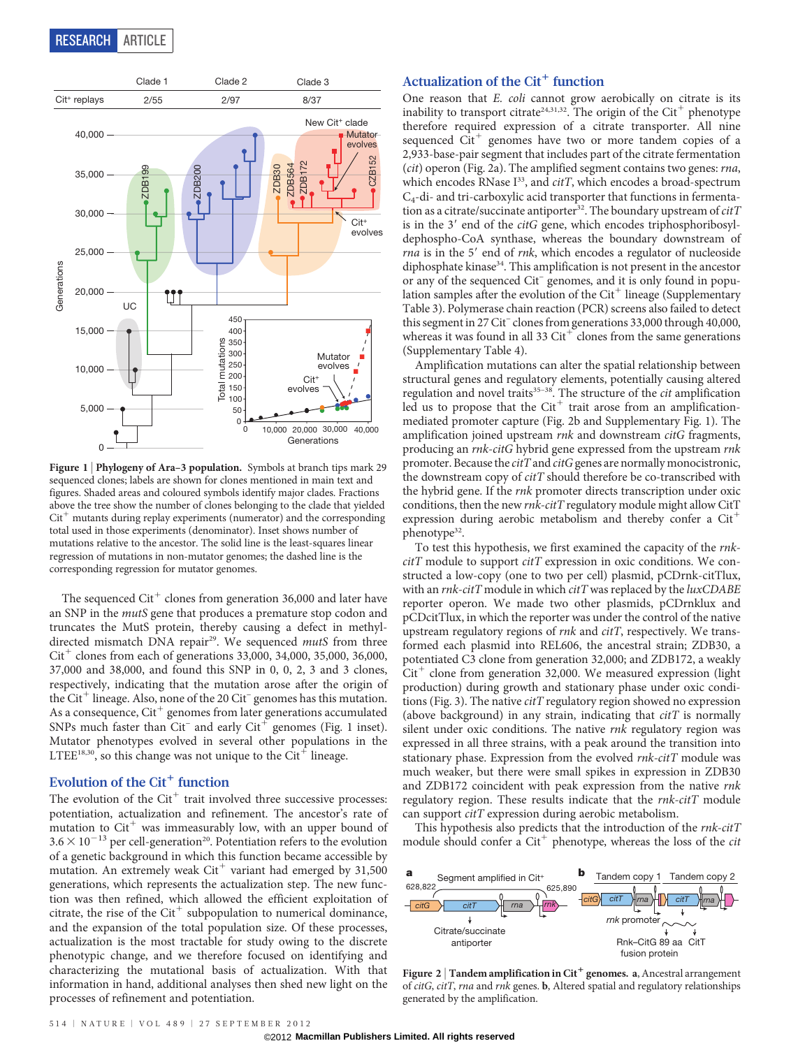

Figure 1 | Phylogeny of Ara-3 population. Symbols at branch tips mark 29 sequenced clones; labels are shown for clones mentioned in main text and figures. Shaded areas and coloured symbols identify major clades. Fractions above the tree show the number of clones belonging to the clade that yielded  $Cit^+$  mutants during replay experiments (numerator) and the corresponding total used in those experiments (denominator). Inset shows number of mutations relative to the ancestor. The solid line is the least-squares linear regression of mutations in non-mutator genomes; the dashed line is the corresponding regression for mutator genomes.

The sequenced  $\mathrm{Cit}^+$  clones from generation 36,000 and later have an SNP in the mutS gene that produces a premature stop codon and truncates the MutS protein, thereby causing a defect in methyldirected mismatch DNA repair<sup>29</sup>. We sequenced mutS from three  $Cit^+$  clones from each of generations 33,000, 34,000, 35,000, 36,000, 37,000 and 38,000, and found this SNP in 0, 0, 2, 3 and 3 clones, respectively, indicating that the mutation arose after the origin of the Cit<sup>+</sup> lineage. Also, none of the 20 Cit<sup>-</sup> genomes has this mutation. As a consequence,  $Cit^+$  genomes from later generations accumulated SNPs much faster than Cit<sup>-</sup> and early Cit<sup>+</sup> genomes (Fig. 1 inset). Mutator phenotypes evolved in several other populations in the LTEE<sup>18,30</sup>, so this change was not unique to the Cit<sup>+</sup> lineage.

### Evolution of the  $Cit^+$  function

The evolution of the  $Cit^+$  trait involved three successive processes: potentiation, actualization and refinement. The ancestor's rate of mutation to  $\mathrm{Cit}^+$  was immeasurably low, with an upper bound of  $3.6 \times 10^{-13}$  per cell-generation<sup>20</sup>. Potentiation refers to the evolution of a genetic background in which this function became accessible by mutation. An extremely weak  $Cit^+$  variant had emerged by 31,500 generations, which represents the actualization step. The new function was then refined, which allowed the efficient exploitation of citrate, the rise of the  $Cit^+$  subpopulation to numerical dominance, and the expansion of the total population size. Of these processes, actualization is the most tractable for study owing to the discrete phenotypic change, and we therefore focused on identifying and characterizing the mutational basis of actualization. With that information in hand, additional analyses then shed new light on the processes of refinement and potentiation.

# Actualization of the  $Cit^+$  function

One reason that *E. coli* cannot grow aerobically on citrate is its inability to transport citrate<sup>24,31,32</sup>. The origin of the Cit<sup>+</sup> phenotype therefore required expression of a citrate transporter. All nine sequenced Cit<sup>+</sup> genomes have two or more tandem copies of a 2,933-base-pair segment that includes part of the citrate fermentation (cit) operon (Fig. 2a). The amplified segment contains two genes: rna, which encodes RNase  $I^{33}$ , and  $citT$ , which encodes a broad-spectrum C4-di- and tri-carboxylic acid transporter that functions in fermentation as a citrate/succinate antiporter<sup>32</sup>. The boundary upstream of  $citT$ is in the  $3'$  end of the *citG* gene, which encodes triphosphoribosyldephospho-CoA synthase, whereas the boundary downstream of  $rna$  is in the 5' end of  $rnk$ , which encodes a regulator of nucleoside diphosphate kinase<sup>34</sup>. This amplification is not present in the ancestor or any of the sequenced Cit– genomes, and it is only found in population samples after the evolution of the  $Cit^+$  lineage (Supplementary Table 3). Polymerase chain reaction (PCR) screens also failed to detect this segment in 27 Cit– clones from generations 33,000 through 40,000, whereas it was found in all 33  $\mathrm{Cit}^+$  clones from the same generations (Supplementary Table 4).

Amplification mutations can alter the spatial relationship between structural genes and regulatory elements, potentially causing altered regulation and novel traits<sup>35-38</sup>. The structure of the *cit* amplification led us to propose that the  $Cit^+$  trait arose from an amplificationmediated promoter capture (Fig. 2b and Supplementary Fig. 1). The amplification joined upstream rnk and downstream citG fragments, producing an rnk-citG hybrid gene expressed from the upstream rnk promoter. Because the *citT* and *citG* genes are normally monocistronic, the downstream copy of *citT* should therefore be co-transcribed with the hybrid gene. If the rnk promoter directs transcription under oxic conditions, then the new rnk-citT regulatory module might allow CitT expression during aerobic metabolism and thereby confer a  $Cit^+$ phenotype<sup>32</sup>.

To test this hypothesis, we first examined the capacity of the rnk $citT$  module to support  $citT$  expression in oxic conditions. We constructed a low-copy (one to two per cell) plasmid, pCDrnk-citTlux, with an  $rnk\text{-}citT$  module in which  $citT$  was replaced by the  $luxCDABE$ reporter operon. We made two other plasmids, pCDrnklux and pCDcitTlux, in which the reporter was under the control of the native upstream regulatory regions of rnk and citT, respectively. We transformed each plasmid into REL606, the ancestral strain; ZDB30, a potentiated C3 clone from generation 32,000; and ZDB172, a weakly  $Cit^+$  clone from generation 32,000. We measured expression (light production) during growth and stationary phase under oxic conditions (Fig. 3). The native *citT* regulatory region showed no expression (above background) in any strain, indicating that  $citT$  is normally silent under oxic conditions. The native rnk regulatory region was expressed in all three strains, with a peak around the transition into stationary phase. Expression from the evolved rnk-citT module was much weaker, but there were small spikes in expression in ZDB30 and ZDB172 coincident with peak expression from the native rnk regulatory region. These results indicate that the rnk-citT module can support citT expression during aerobic metabolism.

This hypothesis also predicts that the introduction of the rnk-citT module should confer a  $Cit^+$  phenotype, whereas the loss of the *cit* 



Figure 2 | Tandem amplification in Cit<sup>+</sup> genomes. a, Ancestral arrangement of citG, citT, rna and rnk genes. b, Altered spatial and regulatory relationships generated by the amplification.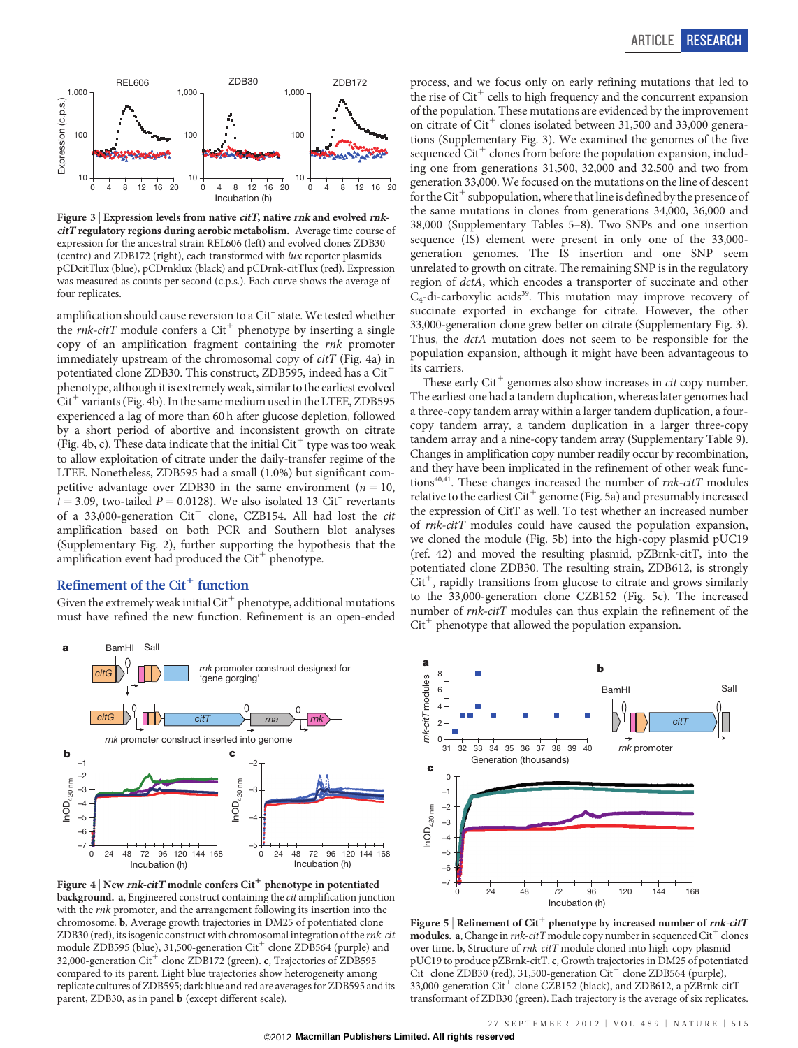

Figure 3 | Expression levels from native *citT*, native  $rnk$  and evolved  $rnk$ citT regulatory regions during aerobic metabolism. Average time course of expression for the ancestral strain REL606 (left) and evolved clones ZDB30 (centre) and ZDB172 (right), each transformed with lux reporter plasmids pCDcitTlux (blue), pCDrnklux (black) and pCDrnk-citTlux (red). Expression was measured as counts per second (c.p.s.). Each curve shows the average of four replicates.

amplification should cause reversion to a Cit– state. We tested whether the *rnk-citT* module confers a Cit<sup>+</sup> phenotype by inserting a single copy of an amplification fragment containing the rnk promoter immediately upstream of the chromosomal copy of citT (Fig. 4a) in potentiated clone ZDB30. This construct, ZDB595, indeed has a  $\mathrm{Cit}^+$ phenotype, although it is extremely weak, similar to the earliest evolved  $Cit^+$  variants (Fig. 4b). In the same medium used in the LTEE, ZDB595 experienced a lag of more than 60 h after glucose depletion, followed by a short period of abortive and inconsistent growth on citrate (Fig. 4b, c). These data indicate that the initial  $\mathrm{Cit}^+$  type was too weak to allow exploitation of citrate under the daily-transfer regime of the LTEE. Nonetheless, ZDB595 had a small (1.0%) but significant competitive advantage over ZDB30 in the same environment ( $n = 10$ ,  $t = 3.09$ , two-tailed  $P = 0.0128$ ). We also isolated 13 Cit<sup>-</sup> revertants of a 33,000-generation  $Cit^+$  clone, CZB154. All had lost the *cit* amplification based on both PCR and Southern blot analyses (Supplementary Fig. 2), further supporting the hypothesis that the amplification event had produced the  $Cit$ <sup>+</sup> phenotype.

# Refinement of the  $Cit^+$  function

Given the extremely weak initial  $Cit^+$  phenotype, additional mutations must have refined the new function. Refinement is an open-ended



Figure 4 | New  $\emph{rnk-citT}$  module confers  $\text{Cit}^+$  phenotype in potentiated background. a, Engineered construct containing the cit amplification junction with the *rnk* promoter, and the arrangement following its insertion into the chromosome. b, Average growth trajectories in DM25 of potentiated clone ZDB30 (red), its isogenic construct with chromosomal integration of the rnk-cit module ZDB595 (blue), 31,500-generation  $\mathrm{Cit}^+$  clone ZDB564 (purple) and 32,000-generation  $\mathrm{Cit}^+$  clone ZDB172 (green). c, Trajectories of ZDB595 compared to its parent. Light blue trajectories show heterogeneity among replicate cultures of ZDB595; dark blue and red are averages for ZDB595 and its parent, ZDB30, as in panel b (except different scale).



These early  $\mathrm{Cit}^+$  genomes also show increases in *cit* copy number. The earliest one had a tandem duplication, whereas later genomes had a three-copy tandem array within a larger tandem duplication, a fourcopy tandem array, a tandem duplication in a larger three-copy tandem array and a nine-copy tandem array (Supplementary Table 9). Changes in amplification copy number readily occur by recombination, and they have been implicated in the refinement of other weak functions<sup>40,41</sup>. These changes increased the number of  $mk\text{-}citT$  modules relative to the earliest  $Cit^+$  genome (Fig. 5a) and presumably increased the expression of CitT as well. To test whether an increased number of rnk-citT modules could have caused the population expansion, we cloned the module (Fig. 5b) into the high-copy plasmid pUC19 (ref. 42) and moved the resulting plasmid, pZBrnk-citT, into the potentiated clone ZDB30. The resulting strain, ZDB612, is strongly  $Cit^+$ , rapidly transitions from glucose to citrate and grows similarly to the 33,000-generation clone CZB152 (Fig. 5c). The increased number of rnk-citT modules can thus explain the refinement of the  $Cit^+$  phenotype that allowed the population expansion.



Figure 5 | Refinement of Cit<sup>+</sup> phenotype by increased number of  $rnk\text{-}citT$ **modules.** a, Change in  $mk\text{-}citT$  module copy number in sequenced  $\text{Cit}^+$  clones over time. b, Structure of rnk-citT module cloned into high-copy plasmid pUC19 to produce pZBrnk-citT. c, Growth trajectories in DM25 of potentiated  $Cit^-$  clone ZDB30 (red), 31,500-generation  $Cit^+$  clone ZDB564 (purple), 33,000-generation Cit<sup>+</sup> clone CZB152 (black), and ZDB612, a pZBrnk-citT transformant of ZDB30 (green). Each trajectory is the average of six replicates.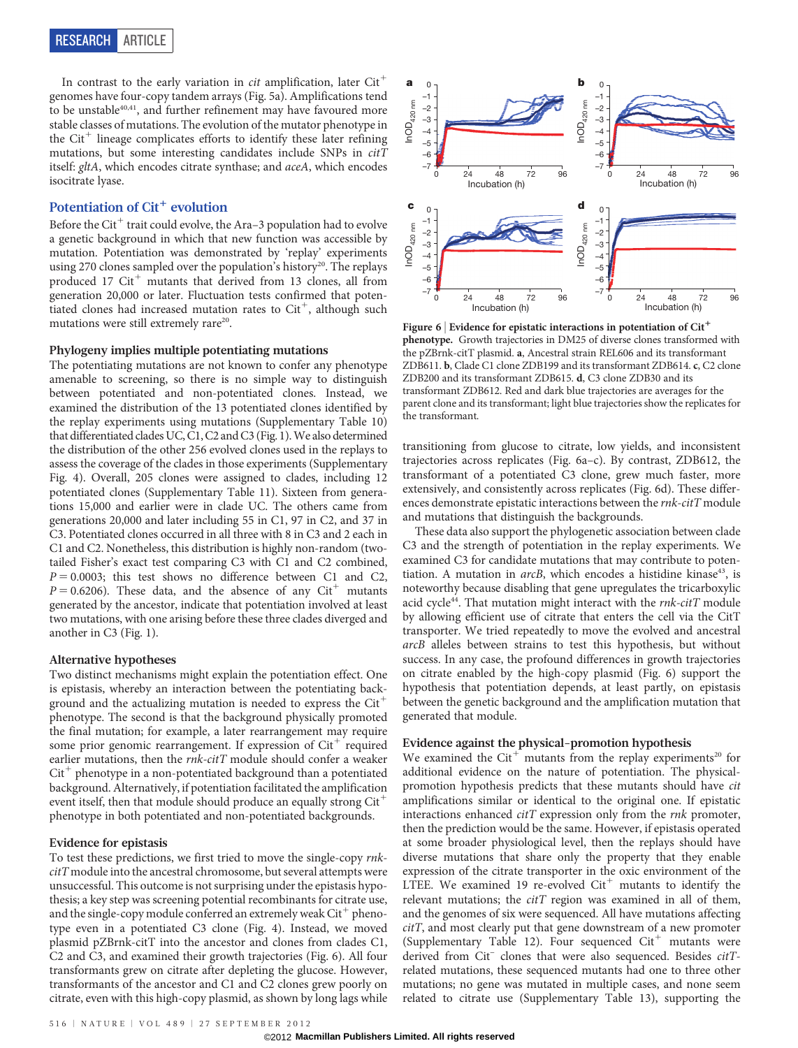In contrast to the early variation in *cit* amplification, later  $\mathrm{Cit}^+$ genomes have four-copy tandem arrays (Fig. 5a). Amplifications tend to be unstable<sup>40,41</sup>, and further refinement may have favoured more stable classes of mutations. The evolution of the mutator phenotype in the  $\mathrm{Cit}^+$  lineage complicates efforts to identify these later refining mutations, but some interesting candidates include SNPs in citT itself: gltA, which encodes citrate synthase; and aceA, which encodes isocitrate lyase.

# Potentiation of  $Cit^+$  evolution

Before the Cit<sup>+</sup> trait could evolve, the Ara-3 population had to evolve a genetic background in which that new function was accessible by mutation. Potentiation was demonstrated by 'replay' experiments using 270 clones sampled over the population's history<sup>20</sup>. The replays produced 17 Cit<sup>+</sup> mutants that derived from 13 clones, all from generation 20,000 or later. Fluctuation tests confirmed that potentiated clones had increased mutation rates to  $\mathrm{Cit}^+$ , although such mutations were still extremely rare<sup>20</sup>.

#### Phylogeny implies multiple potentiating mutations

The potentiating mutations are not known to confer any phenotype amenable to screening, so there is no simple way to distinguish between potentiated and non-potentiated clones. Instead, we examined the distribution of the 13 potentiated clones identified by the replay experiments using mutations (Supplementary Table 10) that differentiated clades UC, C1, C2 and C3 (Fig. 1).We also determined the distribution of the other 256 evolved clones used in the replays to assess the coverage of the clades in those experiments (Supplementary Fig. 4). Overall, 205 clones were assigned to clades, including 12 potentiated clones (Supplementary Table 11). Sixteen from generations 15,000 and earlier were in clade UC. The others came from generations 20,000 and later including 55 in C1, 97 in C2, and 37 in C3. Potentiated clones occurred in all three with 8 in C3 and 2 each in C1 and C2. Nonetheless, this distribution is highly non-random (twotailed Fisher's exact test comparing C3 with C1 and C2 combined,  $P = 0.0003$ ; this test shows no difference between C1 and C2,  $P = 0.6206$ ). These data, and the absence of any Cit<sup>+</sup> mutants generated by the ancestor, indicate that potentiation involved at least two mutations, with one arising before these three clades diverged and another in C3 (Fig. 1).

#### Alternative hypotheses

Two distinct mechanisms might explain the potentiation effect. One is epistasis, whereby an interaction between the potentiating background and the actualizing mutation is needed to express the  $Cit^+$ phenotype. The second is that the background physically promoted the final mutation; for example, a later rearrangement may require some prior genomic rearrangement. If expression of Cit<sup>+</sup> required earlier mutations, then the  $rnk\text{-}citT$  module should confer a weaker  $Cit^+$  phenotype in a non-potentiated background than a potentiated background. Alternatively, if potentiation facilitated the amplification event itself, then that module should produce an equally strong Cit<sup>-1</sup> phenotype in both potentiated and non-potentiated backgrounds.

# Evidence for epistasis

To test these predictions, we first tried to move the single-copy rnkcitT module into the ancestral chromosome, but several attempts were unsuccessful. This outcome is not surprising under the epistasis hypothesis; a key step was screening potential recombinants for citrate use, and the single-copy module conferred an extremely weak  $\mathrm{Cit}^+$  phenotype even in a potentiated C3 clone (Fig. 4). Instead, we moved plasmid pZBrnk-citT into the ancestor and clones from clades C1, C2 and C3, and examined their growth trajectories (Fig. 6). All four transformants grew on citrate after depleting the glucose. However, transformants of the ancestor and C1 and C2 clones grew poorly on citrate, even with this high-copy plasmid, as shown by long lags while



Figure 6 | Evidence for epistatic interactions in potentiation of  $Cit^+$ phenotype. Growth trajectories in DM25 of diverse clones transformed with the pZBrnk-citT plasmid. a, Ancestral strain REL606 and its transformant ZDB611. b, Clade C1 clone ZDB199 and its transformant ZDB614. c, C2 clone ZDB200 and its transformant ZDB615. d, C3 clone ZDB30 and its transformant ZDB612. Red and dark blue trajectories are averages for the parent clone and its transformant; light blue trajectories show the replicates for the transformant.

transitioning from glucose to citrate, low yields, and inconsistent trajectories across replicates (Fig. 6a–c). By contrast, ZDB612, the transformant of a potentiated C3 clone, grew much faster, more extensively, and consistently across replicates (Fig. 6d). These differences demonstrate epistatic interactions between the rnk-citT module and mutations that distinguish the backgrounds.

These data also support the phylogenetic association between clade C3 and the strength of potentiation in the replay experiments. We examined C3 for candidate mutations that may contribute to potentiation. A mutation in  $arcB$ , which encodes a histidine kinase<sup>43</sup>, is noteworthy because disabling that gene upregulates the tricarboxylic acid cycle<sup>44</sup>. That mutation might interact with the *rnk-citT* module by allowing efficient use of citrate that enters the cell via the CitT transporter. We tried repeatedly to move the evolved and ancestral arcB alleles between strains to test this hypothesis, but without success. In any case, the profound differences in growth trajectories on citrate enabled by the high-copy plasmid (Fig. 6) support the hypothesis that potentiation depends, at least partly, on epistasis between the genetic background and the amplification mutation that generated that module.

#### Evidence against the physical-promotion hypothesis

We examined the  $Cit^+$  mutants from the replay experiments<sup>20</sup> for additional evidence on the nature of potentiation. The physicalpromotion hypothesis predicts that these mutants should have cit amplifications similar or identical to the original one. If epistatic interactions enhanced *citT* expression only from the *rnk* promoter, then the prediction would be the same. However, if epistasis operated at some broader physiological level, then the replays should have diverse mutations that share only the property that they enable expression of the citrate transporter in the oxic environment of the LTEE. We examined 19 re-evolved  $Cit^+$  mutants to identify the relevant mutations; the  $citT$  region was examined in all of them, and the genomes of six were sequenced. All have mutations affecting citT, and most clearly put that gene downstream of a new promoter (Supplementary Table 12). Four sequenced  $Cit$ <sup>+</sup> mutants were derived from Cit<sup>-</sup> clones that were also sequenced. Besides *citT*related mutations, these sequenced mutants had one to three other mutations; no gene was mutated in multiple cases, and none seem related to citrate use (Supplementary Table 13), supporting the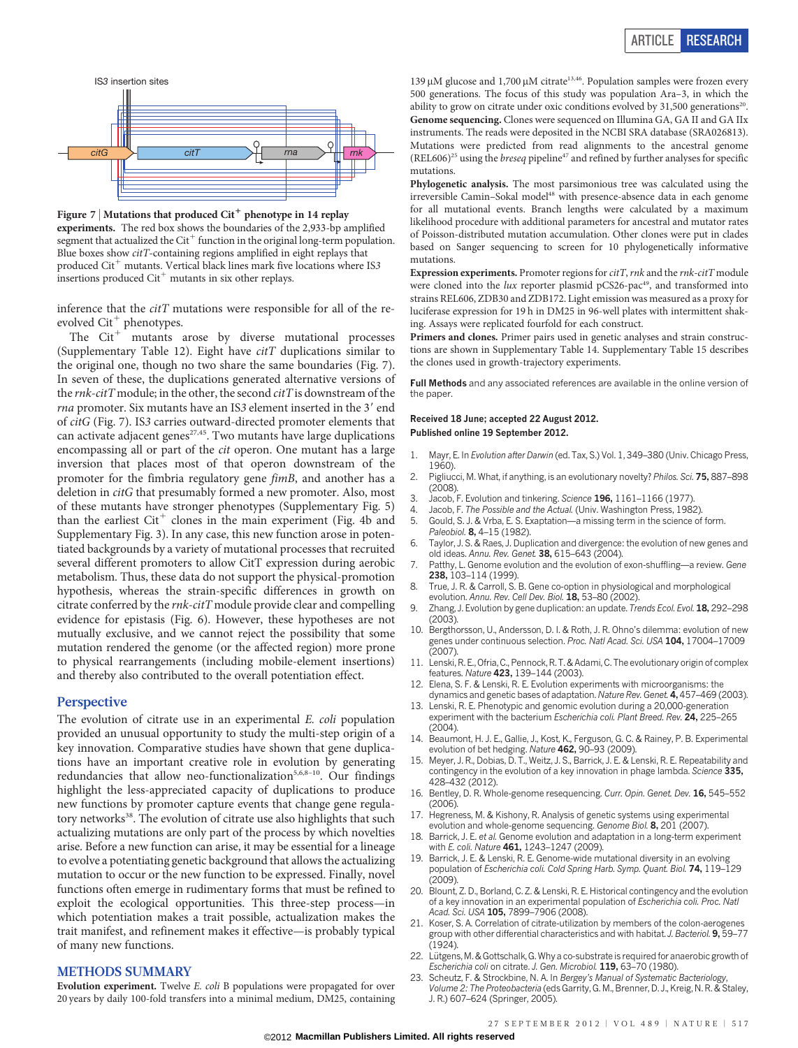

Figure 7 | Mutations that produced  $Cit^+$  phenotype in 14 replay experiments. The red box shows the boundaries of the 2,933-bp amplified segment that actualized the  $Cit^+$  function in the original long-term population. Blue boxes show citT-containing regions amplified in eight replays that produced  $Cit^+$  mutants. Vertical black lines mark five locations where IS3 insertions produced  $\mathrm{Cit}^+$  mutants in six other replays.

inference that the  $citT$  mutations were responsible for all of the reevolved  $Cit^+$  phenotypes.

The  $\mathrm{Cit}^+$  mutants arose by diverse mutational processes (Supplementary Table 12). Eight have  $citT$  duplications similar to the original one, though no two share the same boundaries (Fig. 7). In seven of these, the duplications generated alternative versions of the  $rnk\text{-}citT$  module; in the other, the second  $citT$  is downstream of the rna promoter. Six mutants have an IS3 element inserted in the 3' end of citG (Fig. 7). IS3 carries outward-directed promoter elements that can activate adjacent genes<sup>27,45</sup>. Two mutants have large duplications encompassing all or part of the cit operon. One mutant has a large inversion that places most of that operon downstream of the promoter for the fimbria regulatory gene fimB, and another has a deletion in citG that presumably formed a new promoter. Also, most of these mutants have stronger phenotypes (Supplementary Fig. 5) than the earliest  $Cit^+$  clones in the main experiment (Fig. 4b and Supplementary Fig. 3). In any case, this new function arose in potentiated backgrounds by a variety of mutational processes that recruited several different promoters to allow CitT expression during aerobic metabolism. Thus, these data do not support the physical-promotion hypothesis, whereas the strain-specific differences in growth on citrate conferred by the rnk-citT module provide clear and compelling evidence for epistasis (Fig. 6). However, these hypotheses are not mutually exclusive, and we cannot reject the possibility that some mutation rendered the genome (or the affected region) more prone to physical rearrangements (including mobile-element insertions) and thereby also contributed to the overall potentiation effect.

#### **Perspective**

The evolution of citrate use in an experimental E. coli population provided an unusual opportunity to study the multi-step origin of a key innovation. Comparative studies have shown that gene duplications have an important creative role in evolution by generating redundancies that allow neo-functionalization<sup>5,6,8-10</sup>. Our findings highlight the less-appreciated capacity of duplications to produce new functions by promoter capture events that change gene regulatory networks<sup>38</sup>. The evolution of citrate use also highlights that such actualizing mutations are only part of the process by which novelties arise. Before a new function can arise, it may be essential for a lineage to evolve a potentiating genetic background that allows the actualizing mutation to occur or the new function to be expressed. Finally, novel functions often emerge in rudimentary forms that must be refined to exploit the ecological opportunities. This three-step process—in which potentiation makes a trait possible, actualization makes the trait manifest, and refinement makes it effective—is probably typical of many new functions.

# METHODS SUMMARY

Evolution experiment. Twelve E. coli B populations were propagated for over 20 years by daily 100-fold transfers into a minimal medium, DM25, containing

139 µM glucose and 1,700 µM citrate<sup>13,46</sup>. Population samples were frozen every 500 generations. The focus of this study was population Ara–3, in which the ability to grow on citrate under oxic conditions evolved by  $31,500$  generations<sup>20</sup>. Genome sequencing. Clones were sequenced on Illumina GA, GA II and GA IIx instruments. The reads were deposited in the NCBI SRA database [\(SRA026813\)](http://www.ncbi.nlm.nih.gov/nuccore?term=SRA026813). Mutations were predicted from read alignments to the ancestral genome  $(REL606)^{25}$  using the *breseq* pipeline<sup>47</sup> and refined by further analyses for specific mutations.

Phylogenetic analysis. The most parsimonious tree was calculated using the irreversible Camin–Sokal model<sup>48</sup> with presence-absence data in each genome for all mutational events. Branch lengths were calculated by a maximum likelihood procedure with additional parameters for ancestral and mutator rates of Poisson-distributed mutation accumulation. Other clones were put in clades based on Sanger sequencing to screen for 10 phylogenetically informative mutations.

Expression experiments. Promoter regions for  $citT$ ,  $rnk$  and the  $rnk\text{-}citT$  module were cloned into the  $lux$  reporter plasmid pCS26-pac<sup>49</sup>, and transformed into strains REL606, ZDB30 and ZDB172. Light emission was measured as a proxy for luciferase expression for 19 h in DM25 in 96-well plates with intermittent shaking. Assays were replicated fourfold for each construct.

Primers and clones. Primer pairs used in genetic analyses and strain constructions are shown in Supplementary Table 14. Supplementary Table 15 describes the clones used in growth-trajectory experiments.

Full Methods and any associated references are available in the [online version of](www.nature.com/doifinder/10.1038/nature11514) [the paper](www.nature.com/doifinder/10.1038/nature11514).

#### Received 18 June; accepted 22 August 2012. Published online 19 September 2012.

- 1. Mayr, E. In Evolution after Darwin (ed. Tax, S.) Vol. 1, 349–380 (Univ. Chicago Press, 1960).
- 2. Pigliucci, M. What, if anything, is an evolutionary novelty? Philos. Sci. 75, 887-898  $(2008)$
- 3. Jacob, F. Evolution and tinkering. Science 196, 1161–1166 (1977).
- 4. Jacob, F. The Possible and the Actual. (Univ. Washington Press, 1982).
- 5. Gould, S. J. & Vrba, E. S. Exaptation—a missing term in the science of form. Paleobiol. 8, 4-15 (1982).
- 6. Taylor, J. S. & Raes, J. Duplication and divergence: the evolution of new genes and old ideas. Annu. Rev. Genet. 38, 615–643 (2004).
- 7. Patthy, L. Genome evolution and the evolution of exon-shuffling—a review. Gene 238, 103–114 (1999).
- 8. True, J. R. & Carroll, S. B. Gene co-option in physiological and morphological evolution. Annu. Rev. Cell Dev. Biol. 18, 53-80 (2002).
- Zhang, J. Evolution by gene duplication: an update. Trends Ecol. Evol. 18, 292–298  $(2003)$
- 10. Bergthorsson, U., Andersson, D. I. & Roth, J. R. Ohno's dilemma: evolution of new genes under continuous selection. Proc. Natl Acad. Sci. USA 104, 17004-17009 (2007).
- 11. Lenski, R. E., Ofria, C., Pennock, R. T. & Adami, C. The evolutionary origin of complex features. Nature 423, 139–144 (2003).
- 12. Elena, S. F. & Lenski, R. E. Evolution experiments with microorganisms: the dynamics and genetic bases of adaptation. Nature Rev. Genet. 4, 457–469 (2003).
- 13. Lenski, R. E. Phenotypic and genomic evolution during a 20,000-generation experiment with the bacterium Escherichia coli. Plant Breed. Rev. 24, 225-265  $(2004)$
- 14. Beaumont, H. J. E., Gallie, J., Kost, K., Ferguson, G. C. & Rainey, P. B. Experimental evolution of bet hedging. Nature 462, 90-93 (2009).
- 15. Meyer, J. R., Dobias, D. T., Weitz, J. S., Barrick, J. E. & Lenski, R. E. Repeatability and contingency in the evolution of a key innovation in phage lambda. Science 335, 428–432 (2012).
- 16. Bentley, D. R. Whole-genome resequencing. Curr. Opin. Genet. Dev. 16, 545-552  $(2006)$
- 17. Hegreness, M. & Kishony, R. Analysis of genetic systems using experimental evolution and whole-genome sequencing. Genome Biol. 8, 201 (2007).
- 18. Barrick, J. E. et al. Genome evolution and adaptation in a long-term experiment with E. coli. Nature 461, 1243-1247 (2009).
- 19. Barrick, J. E. & Lenski, R. E. Genome-wide mutational diversity in an evolving population of Escherichia coli. Cold Spring Harb. Symp. Quant. Biol. 74, 119–129  $(2009)$
- 20. Blount, Z. D., Borland, C. Z. & Lenski, R. E. Historical contingency and the evolution of a key innovation in an experimental population of Escherichia coli. Proc. Natl Acad. Sci. USA 105, 7899-7906 (2008).
- 21. Koser, S. A. Correlation of citrate-utilization by members of the colon-aerogenes group with other differential characteristics and with habitat. J. Bacteriol. 9, 59-77  $(1924)$
- 22. Lütgens, M. & Gottschalk, G. Why a co-substrate is required for anaerobic growth of Escherichia coli on citrate. J. Gen. Microbiol. 119, 63–70 (1980).
- 23. Scheutz, F. & Strockbine, N. A. In Bergey's Manual of Systematic Bacteriology, Volume 2: The Proteobacteria (eds Garrity, G. M., Brenner, D. J., Kreig, N. R. & Staley, J. R.) 607–624 (Springer, 2005).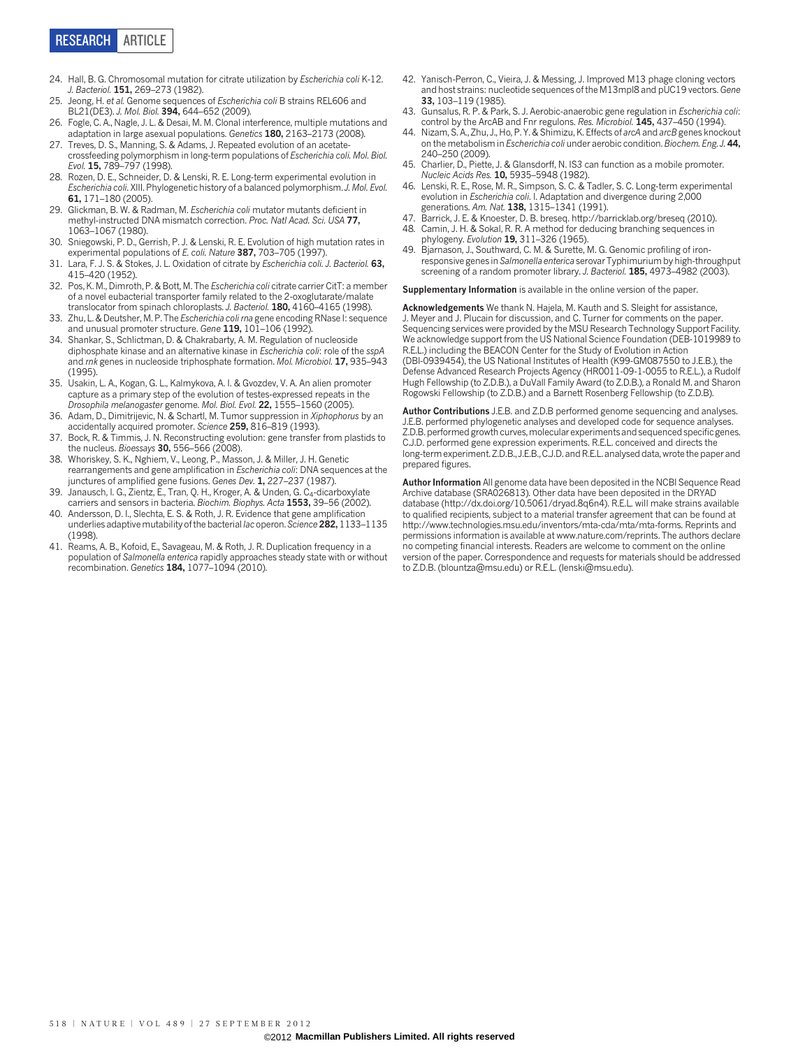

- 24. Hall, B. G. Chromosomal mutation for citrate utilization by Escherichia coli K-12. J. Bacteriol. 151, 269–273 (1982).
- 25. Jeong, H. et al. Genome sequences of Escherichia coli B strains REL606 and BL21(DE3). J. Mol. Biol. 394, 644–652 (2009).
- 26. Fogle, C. A., Nagle, J. L. & Desai, M. M. Clonal interference, multiple mutations and adaptation in large asexual populations. Genetics **180**, 2163–2173 (2008).
- 27. Treves, D. S., Manning, S. & Adams, J. Repeated evolution of an acetatecrossfeeding polymorphism in long-term populations of Escherichia coli. Mol. Biol. Evol. 15, 789–797 (1998).
- 28. Rozen, D. E., Schneider, D. & Lenski, R. E. Long-term experimental evolution in Escherichia coli. XIII. Phylogenetic history of a balanced polymorphism. J. Mol. Evol. 61, 171–180 (2005).
- Glickman, B. W. & Radman, M. Escherichia coli mutator mutants deficient in methyl-instructed DNA mismatch correction. Proc. Natl Acad. Sci. USA 77, 1063–1067 (1980).
- 30. Sniegowski, P. D., Gerrish, P. J. & Lenski, R. E. Evolution of high mutation rates in experimental populations of E. coli. Nature 387, 703-705 (1997).
- 31. Lara, F. J. S. & Stokes, J. L. Oxidation of citrate by Escherichia coli. J. Bacteriol. 63, 415–420 (1952).
- 32. Pos, K. M., Dimroth, P. & Bott, M. The Escherichia coli citrate carrier CitT: a member of a novel eubacterial transporter family related to the 2-oxoglutarate/malate translocator from spinach chloroplasts. J. Bacteriol. 180, 4160-4165 (1998).
- 33. Zhu, L. & Deutsher, M. P. The Escherichia coli rna gene encoding RNase I: sequence and unusual promoter structure. Gene 119, 101-106 (1992)
- 34. Shankar, S., Schlictman, D. & Chakrabarty, A. M. Regulation of nucleoside diphosphate kinase and an alternative kinase in Escherichia coli: role of the sspA and rnk genes in nucleoside triphosphate formation. Mol. Microbiol. 17, 935–943  $(1995)$
- 35. Usakin, L. A., Kogan, G. L., Kalmykova, A. I. & Gvozdev, V. A. An alien promoter capture as a primary step of the evolution of testes-expressed repeats in the Drosophila melanogaster genome. Mol. Biol. Evol. 22, 1555–1560 (2005).
- 36. Adam, D., Dimitrijevic, N. & Schartl, M. Tumor suppression in Xiphophorus by an accidentally acquired promoter. Science 259, 816–819 (1993).
- 37. Bock, R. & Timmis, J. N. Reconstructing evolution: gene transfer from plastids to the nucleus. Bioessays 30, 556-566 (2008).
- 38. Whoriskey, S. K., Nghiem, V., Leong, P., Masson, J. & Miller, J. H. Genetic rearrangements and gene amplification in Escherichia coli: DNA sequences at the junctures of amplified gene fusions. Genes Dev. 1, 227-237 (1987).
- 39. Janausch, I. G., Zientz, E., Tran, Q. H., Kroger, A. & Unden, G. C<sub>4</sub>-dicarboxylate carriers and sensors in bacteria. Biochim. Biophys. Acta 1553, 39-56 (2002).
- 40. Andersson, D. I., Slechta, E. S. & Roth, J. R. Evidence that gene amplification underlies adaptive mutability of the bacterial lac operon. Science 282, 1133-1135 (1998).
- 41. Reams, A. B., Kofoid, E., Savageau, M. & Roth, J. R. Duplication frequency in a population of Salmonella enterica rapidly approaches steady state with or without recombination. Genetics 184, 1077–1094 (2010).
- 42. Yanisch-Perron, C., Vieira, J. & Messing, J. Improved M13 phage cloning vectors and host strains: nucleotide sequences of the M13mpl8 and pUC19 vectors. Gene 33, 103–119 (1985).
- 43. Gunsalus, R. P. & Park, S. J. Aerobic-anaerobic gene regulation in Escherichia coli: control by the ArcAB and Fnr regulons. Res. Microbiol. 145, 437-450 (1994).
- 44. Nizam, S. A., Zhu, J., Ho, P. Y. & Shimizu, K. Effects of arcA and arcB genes knockout on the metabolism in Escherichia coli under aerobic condition. Biochem. Eng. J. 44, 240–250 (2009).
- 45. Charlier, D., Piette, J. & Glansdorff, N. IS3 can function as a mobile promoter. Nucleic Acids Res. 10, 5935–5948 (1982).
- 46. Lenski, R. E., Rose, M. R., Simpson, S. C. & Tadler, S. C. Long-term experimental evolution in Escherichia coli. I. Adaptation and divergence during 2,000 generations. Am. Nat. 138, 1315-1341 (1991).
- 47. Barrick, J. E. & Knoester, D. B. breseq.<http://barricklab.org/breseq> (2010).
- Camin, J. H. & Sokal, R. R. A method for deducing branching sequences in phylogeny. Evolution 19, 311–326 (1965).
- 49. Bjarnason, J., Southward, C. M. & Surette, M. G. Genomic profiling of ironresponsive genes in Salmonella enterica serovar Typhimurium by high-throughput screening of a random promoter library. J. Bacteriol. 185, 4973-4982 (2003).

Supplementary Information is available in the [online version of the paper.](www.nature.com/doifinder/10.1038/nature11514)

Acknowledgements We thank N. Hajela, M. Kauth and S. Sleight for assistance, J. Meyer and J. Plucain for discussion, and C. Turner for comments on the paper. Sequencing services were provided by the MSU Research Technology Support Facility. We acknowledge support from the US National Science Foundation (DEB-1019989 to R.E.L.) including the BEACON Center for the Study of Evolution in Action (DBI-0939454), the US National Institutes of Health (K99-GM087550 to J.E.B.), the Defense Advanced Research Projects Agency (HR0011-09-1-0055 to R.E.L.), a Rudolf Hugh Fellowship (to Z.D.B.), a DuVall Family Award (to Z.D.B.), a Ronald M. and Sharon Rogowski Fellowship (to Z.D.B.) and a Barnett Rosenberg Fellowship (to Z.D.B).

Author Contributions J.E.B. and Z.D.B performed genome sequencing and analyses. J.E.B. performed phylogenetic analyses and developed code for sequence analyses. Z.D.B. performed growth curves, molecular experiments and sequenced specific genes. C.J.D. performed gene expression experiments. R.E.L. conceived and directs the long-term experiment. Z.D.B., J.E.B., C.J.D. and R.E.L. analysed data, wrote the paper and prepared figures.

Author Information All genome data have been deposited in the NCBI Sequence Read Archive database [\(SRA026813](http://www.ncbi.nlm.nih.gov/nuccore?term=SRA026813)). Other data have been deposited in the DRYAD database (<http://dx.doi.org/10.5061/dryad.8q6n4>). R.E.L. will make strains available to qualified recipients, subject to a material transfer agreement that can be found at <http://www.technologies.msu.edu/inventors/mta-cda/mta/mta-forms>. Reprints and permissions information is available at<www.nature.com/reprints>. The authors declare no competing financial interests. Readers are welcome to comment on the [online](www.nature.com/doifinder/10.1038/nature11514) [version of the paper.](www.nature.com/doifinder/10.1038/nature11514) Correspondence and requests for materials should be addressed to Z.D.B. [\(blountza@msu.edu\)](mailto:blountza@msu.edu) or R.E.L. [\(lenski@msu.edu\)](mailto:lenski@msu.edu).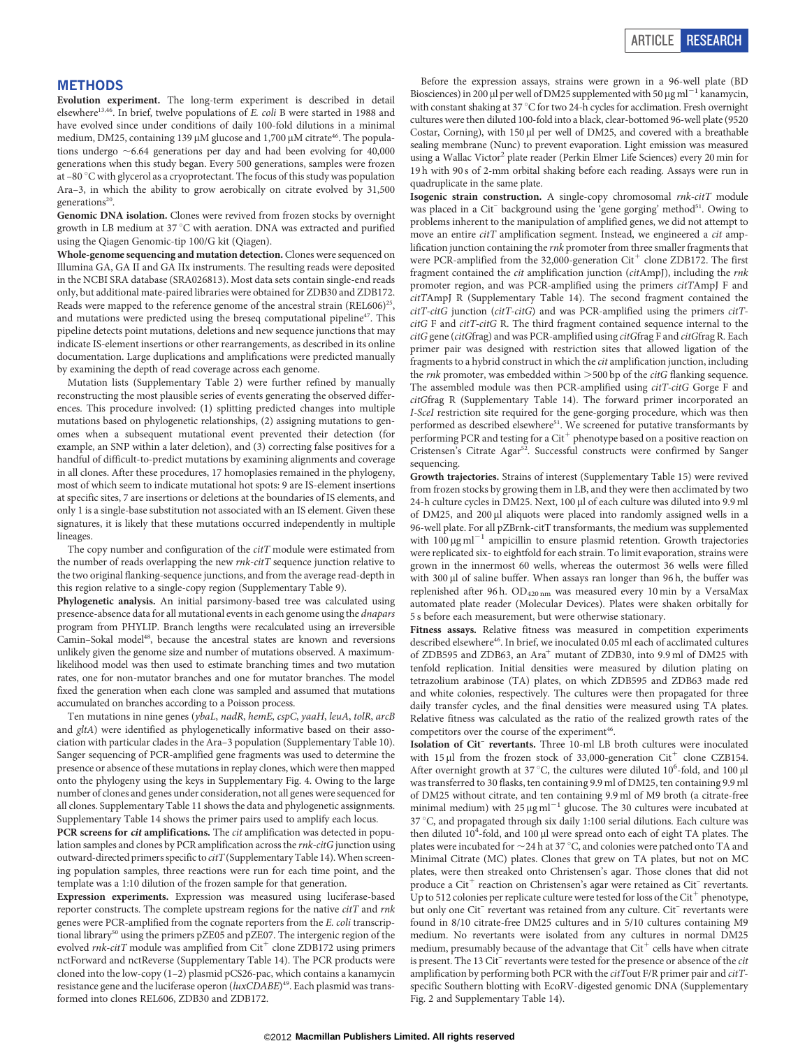#### METHODS

Evolution experiment. The long-term experiment is described in detail elsewhere<sup>13,46</sup>. In brief, twelve populations of E. coli B were started in 1988 and have evolved since under conditions of daily 100-fold dilutions in a minimal medium, DM25, containing 139  $\mu$ M glucose and 1,700  $\mu$ M citrate<sup>46</sup>. The populations undergo  $\sim$  6.64 generations per day and had been evolving for 40,000 generations when this study began. Every 500 generations, samples were frozen at  $-80$  °C with glycerol as a cryoprotectant. The focus of this study was population Ara–3, in which the ability to grow aerobically on citrate evolved by 31,500 generations<sup>20</sup>

Genomic DNA isolation. Clones were revived from frozen stocks by overnight growth in LB medium at  $37^{\circ}$ C with aeration. DNA was extracted and purified using the Qiagen Genomic-tip 100/G kit (Qiagen).

Whole-genome sequencing and mutation detection. Clones were sequenced on Illumina GA, GA II and GA IIx instruments. The resulting reads were deposited in the NCBI SRA database [\(SRA026813](http://www.ncbi.nlm.nih.gov/sra?term=SRA026813)). Most data sets contain single-end reads only, but additional mate-paired libraries were obtained for ZDB30 and ZDB172. Reads were mapped to the reference genome of the ancestral strain  $(REL606)^{25}$ , and mutations were predicted using the breseq computational pipeline<sup>47</sup>. This pipeline detects point mutations, deletions and new sequence junctions that may indicate IS-element insertions or other rearrangements, as described in its online documentation. Large duplications and amplifications were predicted manually by examining the depth of read coverage across each genome.

Mutation lists (Supplementary Table 2) were further refined by manually reconstructing the most plausible series of events generating the observed differences. This procedure involved: (1) splitting predicted changes into multiple mutations based on phylogenetic relationships, (2) assigning mutations to genomes when a subsequent mutational event prevented their detection (for example, an SNP within a later deletion), and (3) correcting false positives for a handful of difficult-to-predict mutations by examining alignments and coverage in all clones. After these procedures, 17 homoplasies remained in the phylogeny, most of which seem to indicate mutational hot spots: 9 are IS-element insertions at specific sites, 7 are insertions or deletions at the boundaries of IS elements, and only 1 is a single-base substitution not associated with an IS element. Given these signatures, it is likely that these mutations occurred independently in multiple lineages.

The copy number and configuration of the *citT* module were estimated from the number of reads overlapping the new rnk-citT sequence junction relative to the two original flanking-sequence junctions, and from the average read-depth in this region relative to a single-copy region (Supplementary Table 9).

Phylogenetic analysis. An initial parsimony-based tree was calculated using presence-absence data for all mutational events in each genome using the *dnapars* program from PHYLIP. Branch lengths were recalculated using an irreversible Camin–Sokal model<sup>48</sup>, because the ancestral states are known and reversions unlikely given the genome size and number of mutations observed. A maximumlikelihood model was then used to estimate branching times and two mutation rates, one for non-mutator branches and one for mutator branches. The model fixed the generation when each clone was sampled and assumed that mutations accumulated on branches according to a Poisson process.

Ten mutations in nine genes (ybaL, nadR, hemE, cspC, yaaH, leuA, tolR, arcB and gltA) were identified as phylogenetically informative based on their association with particular clades in the Ara–3 population (Supplementary Table 10). Sanger sequencing of PCR-amplified gene fragments was used to determine the presence or absence of these mutations in replay clones, which were then mapped onto the phylogeny using the keys in Supplementary Fig. 4. Owing to the large number of clones and genes under consideration, not all genes were sequenced for all clones. Supplementary Table 11 shows the data and phylogenetic assignments. Supplementary Table 14 shows the primer pairs used to amplify each locus.

PCR screens for cit amplifications. The cit amplification was detected in population samples and clones by PCR amplification across the rnk-citG junction using outward-directed primers specific to citT (Supplementary Table 14). When screening population samples, three reactions were run for each time point, and the template was a 1:10 dilution of the frozen sample for that generation.

Expression experiments. Expression was measured using luciferase-based reporter constructs. The complete upstream regions for the native citT and rnk genes were PCR-amplified from the cognate reporters from the E. coli transcriptional library<sup>50</sup> using the primers pZE05 and pZE07. The intergenic region of the evolved  $\mathit{rnk\text{-}citT}$  module was amplified from Cit<sup>+</sup> clone ZDB172 using primers nctForward and nctReverse (Supplementary Table 14). The PCR products were cloned into the low-copy (1–2) plasmid pCS26-pac, which contains a kanamycin resistance gene and the luciferase operon (luxCDABE)<sup>49</sup>. Each plasmid was transformed into clones REL606, ZDB30 and ZDB172.

Before the expression assays, strains were grown in a 96-well plate (BD Biosciences) in 200 µl per well of DM25 supplemented with 50 µg ml<sup> $-1$ </sup> kanamycin, with constant shaking at 37 °C for two 24-h cycles for acclimation. Fresh overnight cultures were then diluted 100-fold into a black, clear-bottomed 96-well plate (9520 Costar, Corning), with 150 µl per well of DM25, and covered with a breathable sealing membrane (Nunc) to prevent evaporation. Light emission was measured using a Wallac Victor<sup>2</sup> plate reader (Perkin Elmer Life Sciences) every 20 min for 19 h with 90 s of 2-mm orbital shaking before each reading. Assays were run in quadruplicate in the same plate.

Isogenic strain construction. A single-copy chromosomal rnk-citT module was placed in a Cit<sup>-</sup> background using the 'gene gorging' method<sup>51</sup>. Owing to problems inherent to the manipulation of amplified genes, we did not attempt to move an entire citT amplification segment. Instead, we engineered a cit amplification junction containing the rnk promoter from three smaller fragments that were PCR-amplified from the 32,000-generation  $\mathrm{Cit}^+$  clone ZDB172. The first fragment contained the cit amplification junction (citAmpJ), including the rnk promoter region, and was PCR-amplified using the primers citTAmpJ F and citTAmpJ R (Supplementary Table 14). The second fragment contained the  $citT\text{-}citG$  junction  $(citT\text{-}citG)$  and was PCR-amplified using the primers  $citT\text{-}citG$ citG F and citT-citG R. The third fragment contained sequence internal to the citG gene (citGfrag) and was PCR-amplified using citGfrag F and citGfrag R. Each primer pair was designed with restriction sites that allowed ligation of the fragments to a hybrid construct in which the cit amplification junction, including the  $rnk$  promoter, was embedded within  $>$  500 bp of the  $citG$  flanking sequence. The assembled module was then PCR-amplified using citT-citG Gorge F and citGfrag R (Supplementary Table 14). The forward primer incorporated an I-SceI restriction site required for the gene-gorging procedure, which was then performed as described elsewhere<sup>51</sup>. We screened for putative transformants by performing PCR and testing for a  $Cit^+$  phenotype based on a positive reaction on Cristensen's Citrate Agar<sup>52</sup>. Successful constructs were confirmed by Sanger sequencing.

Growth trajectories. Strains of interest (Supplementary Table 15) were revived from frozen stocks by growing them in LB, and they were then acclimated by two 24-h culture cycles in DM25. Next, 100 µl of each culture was diluted into 9.9 ml of DM25, and 200 µl aliquots were placed into randomly assigned wells in a 96-well plate. For all pZBrnk-citT transformants, the medium was supplemented with 100  $\mu$ g ml<sup>-1</sup> ampicillin to ensure plasmid retention. Growth trajectories were replicated six- to eightfold for each strain. To limit evaporation, strains were grown in the innermost 60 wells, whereas the outermost 36 wells were filled with 300 µl of saline buffer. When assays ran longer than 96 h, the buffer was replenished after 96 h. OD<sub>420 nm</sub> was measured every 10 min by a VersaMax automated plate reader (Molecular Devices). Plates were shaken orbitally for 5 s before each measurement, but were otherwise stationary.

Fitness assays. Relative fitness was measured in competition experiments described elsewhere<sup>46</sup>. In brief, we inoculated 0.05 ml each of acclimated cultures of ZDB595 and ZDB63, an Ara<sup>+</sup> mutant of ZDB30, into 9.9 ml of DM25 with tenfold replication. Initial densities were measured by dilution plating on tetrazolium arabinose (TA) plates, on which ZDB595 and ZDB63 made red and white colonies, respectively. The cultures were then propagated for three daily transfer cycles, and the final densities were measured using TA plates. Relative fitness was calculated as the ratio of the realized growth rates of the competitors over the course of the experiment<sup>46</sup>.

Isolation of Cit– revertants. Three 10-ml LB broth cultures were inoculated with 15  $\mu$ l from the frozen stock of 33,000-generation Cit<sup>+</sup> clone CZB154. After overnight growth at 37 °C, the cultures were diluted  $10^6$ -fold, and 100  $\mu$ was transferred to 30 flasks, ten containing 9.9 ml of DM25, ten containing 9.9 ml of DM25 without citrate, and ten containing 9.9 ml of M9 broth (a citrate-free minimal medium) with  $25 \mu g \text{ ml}^{-1}$  glucose. The 30 cultures were incubated at 37 °C, and propagated through six daily 1:100 serial dilutions. Each culture was then diluted 10<sup>4</sup>-fold, and 100 µl were spread onto each of eight TA plates. The plates were incubated for  ${\sim}24$  h at 37  $^{\circ} \text{C,}$  and colonies were patched onto TA and Minimal Citrate (MC) plates. Clones that grew on TA plates, but not on MC plates, were then streaked onto Christensen's agar. Those clones that did not produce a Cit<sup>+</sup> reaction on Christensen's agar were retained as Cit<sup>-</sup> revertants. Up to 512 colonies per replicate culture were tested for loss of the  $\mathrm{Cit}^+$  phenotype, but only one Cit<sup>-</sup> revertant was retained from any culture. Cit<sup>-</sup> revertants were found in 8/10 citrate-free DM25 cultures and in 5/10 cultures containing M9 medium. No revertants were isolated from any cultures in normal DM25 medium, presumably because of the advantage that  $\mathrm{Cit}^+$  cells have when citrate is present. The 13 Cit<sup>-</sup> revertants were tested for the presence or absence of the *cit* amplification by performing both PCR with the citTout F/R primer pair and citTspecific Southern blotting with EcoRV-digested genomic DNA (Supplementary Fig. 2 and Supplementary Table 14).